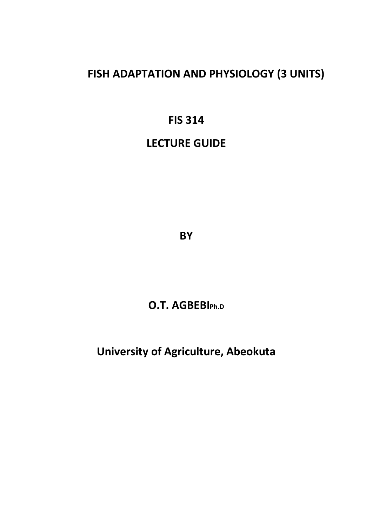# **FISH ADAPTATION AND PHYSIOLOGY (3 UNITS)**

# **FIS 314**

# **LECTURE GUIDE**

**BY** 

# **O.T. AGBEBIPh.D**

# **University of Agriculture, Abeokuta**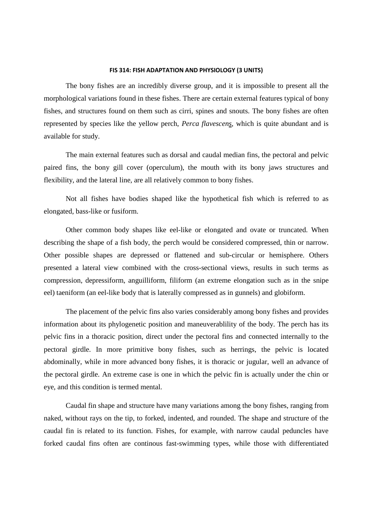#### **FIS 314: FISH ADAPTATION AND PHYSIOLOGY (3 UNITS)**

The bony fishes are an incredibly diverse group, and it is impossible to present all the morphological variations found in these fishes. There are certain external features typical of bony fishes, and structures found on them such as cirri, spines and snouts. The bony fishes are often represented by species like the yellow perch, *Perca flavescens*, which is quite abundant and is available for study.

 The main external features such as dorsal and caudal median fins, the pectoral and pelvic paired fins, the bony gill cover (operculum), the mouth with its bony jaws structures and flexibility, and the lateral line, are all relatively common to bony fishes.

 Not all fishes have bodies shaped like the hypothetical fish which is referred to as elongated, bass-like or fusiform.

 Other common body shapes like eel-like or elongated and ovate or truncated. When describing the shape of a fish body, the perch would be considered compressed, thin or narrow. Other possible shapes are depressed or flattened and sub-circular or hemisphere. Others presented a lateral view combined with the cross-sectional views, results in such terms as compression, depressiform, anguilliform, filiform (an extreme elongation such as in the snipe eel) taeniform (an eel-like body that is laterally compressed as in gunnels) and globiform.

 The placement of the pelvic fins also varies considerably among bony fishes and provides information about its phylogenetic position and maneuverablility of the body. The perch has its pelvic fins in a thoracic position, direct under the pectoral fins and connected internally to the pectoral girdle. In more primitive bony fishes, such as herrings, the pelvic is located abdominally, while in more advanced bony fishes, it is thoracic or jugular, well an advance of the pectoral girdle. An extreme case is one in which the pelvic fin is actually under the chin or eye, and this condition is termed mental.

 Caudal fin shape and structure have many variations among the bony fishes, ranging from naked, without rays on the tip, to forked, indented, and rounded. The shape and structure of the caudal fin is related to its function. Fishes, for example, with narrow caudal peduncles have forked caudal fins often are continous fast-swimming types, while those with differentiated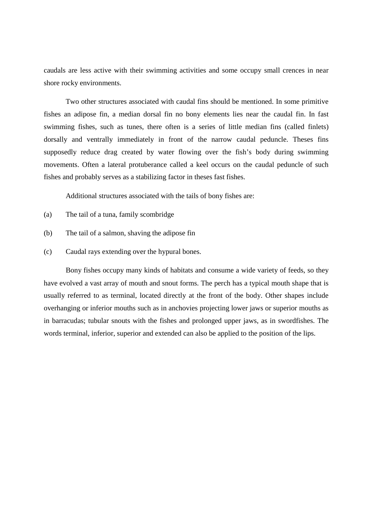caudals are less active with their swimming activities and some occupy small crences in near shore rocky environments.

 Two other structures associated with caudal fins should be mentioned. In some primitive fishes an adipose fin, a median dorsal fin no bony elements lies near the caudal fin. In fast swimming fishes, such as tunes, there often is a series of little median fins (called finlets) dorsally and ventrally immediately in front of the narrow caudal peduncle. Theses fins supposedly reduce drag created by water flowing over the fish's body during swimming movements. Often a lateral protuberance called a keel occurs on the caudal peduncle of such fishes and probably serves as a stabilizing factor in theses fast fishes.

Additional structures associated with the tails of bony fishes are:

- (a) The tail of a tuna, family scombridge
- (b) The tail of a salmon, shaving the adipose fin
- (c) Caudal rays extending over the hypural bones.

 Bony fishes occupy many kinds of habitats and consume a wide variety of feeds, so they have evolved a vast array of mouth and snout forms. The perch has a typical mouth shape that is usually referred to as terminal, located directly at the front of the body. Other shapes include overhanging or inferior mouths such as in anchovies projecting lower jaws or superior mouths as in barracudas; tubular snouts with the fishes and prolonged upper jaws, as in swordfishes. The words terminal, inferior, superior and extended can also be applied to the position of the lips.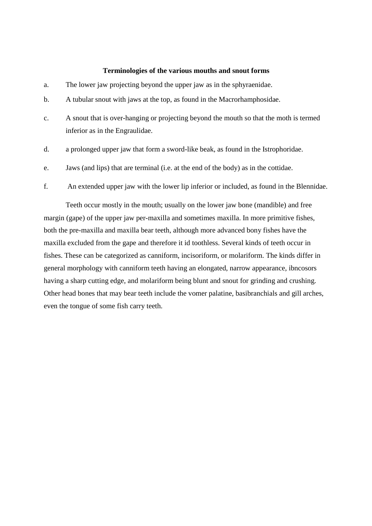#### **Terminologies of the various mouths and snout forms**

- a. The lower jaw projecting beyond the upper jaw as in the sphyraenidae.
- b. A tubular snout with jaws at the top, as found in the Macrorhamphosidae.
- c. A snout that is over-hanging or projecting beyond the mouth so that the moth is termed inferior as in the Engraulidae.
- d. a prolonged upper jaw that form a sword-like beak, as found in the Istrophoridae.
- e. Jaws (and lips) that are terminal (i.e. at the end of the body) as in the cottidae.
- f. An extended upper jaw with the lower lip inferior or included, as found in the Blennidae.

 Teeth occur mostly in the mouth; usually on the lower jaw bone (mandible) and free margin (gape) of the upper jaw per-maxilla and sometimes maxilla. In more primitive fishes, both the pre-maxilla and maxilla bear teeth, although more advanced bony fishes have the maxilla excluded from the gape and therefore it id toothless. Several kinds of teeth occur in fishes. These can be categorized as canniform, incisoriform, or molariform. The kinds differ in general morphology with canniform teeth having an elongated, narrow appearance, ibncosors having a sharp cutting edge, and molariform being blunt and snout for grinding and crushing. Other head bones that may bear teeth include the vomer palatine, basibranchials and gill arches, even the tongue of some fish carry teeth.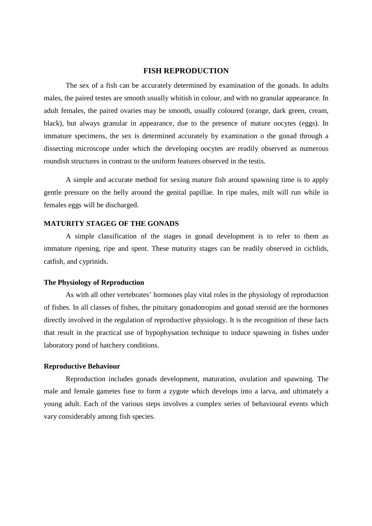# **FISH REPRODUCTION**

The sex of a fish can be accurately determined by examination of the gonads. In adults males, the paired testes are smooth usually whitish in colour, and with no granular appearance. In adult females, the paired ovaries may be smooth, usually coloured (orange, dark green, cream, black), but always granular in appearance, due to the presence of mature oocytes (eggs). In immature specimens, the sex is determined accurately by examination o the gonad through a dissecting microscope under which the developing oocytes are readily observed as numerous roundish structures in contrast to the uniform features observed in the testis.

A simple and accurate method for sexing mature fish around spawning time is to apply gentle pressure on the belly around the genital papillae. In ripe males, milt will run while in females eggs will be discharged.

## **MATURITY STAGEG OF THE GONADS**

A simple classification of the stages in gonad development is to refer to them as immature ripening, ripe and spent. These maturity stages can be readily observed in cichlids, catfish, and cyprinids.

#### **The Physiology of Reproduction**

 As with all other vertebrates' hormones play vital roles in the physiology of reproduction of fishes. In all classes of fishes, the pituitary gonadotropins and gonad steroid are the hormones directly involved in the regulation of reproductive physiology. It is the recognition of these facts that result in the practical use of hypophysation technique to induce spawning in fishes under laboratory pond of hatchery conditions.

### **Reproductive Behaviour**

 Reproduction includes gonads development, maturation, ovulation and spawning. The male and female gametes fuse to form a zygote which develops into a larva, and ultimately a young adult. Each of the various steps involves a complex series of behavioural events which vary considerably among fish species.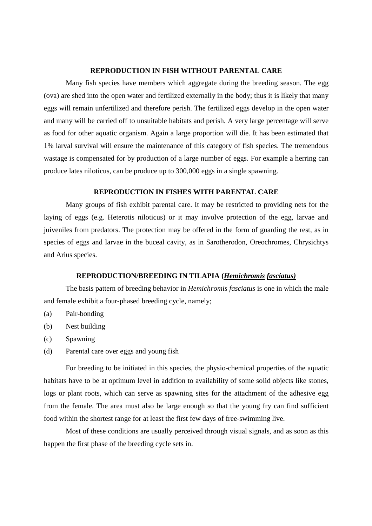### **REPRODUCTION IN FISH WITHOUT PARENTAL CARE**

Many fish species have members which aggregate during the breeding season. The egg (ova) are shed into the open water and fertilized externally in the body; thus it is likely that many eggs will remain unfertilized and therefore perish. The fertilized eggs develop in the open water and many will be carried off to unsuitable habitats and perish. A very large percentage will serve as food for other aquatic organism. Again a large proportion will die. It has been estimated that 1% larval survival will ensure the maintenance of this category of fish species. The tremendous wastage is compensated for by production of a large number of eggs. For example a herring can produce lates niloticus, can be produce up to 300,000 eggs in a single spawning.

#### **REPRODUCTION IN FISHES WITH PARENTAL CARE**

 Many groups of fish exhibit parental care. It may be restricted to providing nets for the laying of eggs (e.g. Heterotis niloticus) or it may involve protection of the egg, larvae and juiveniles from predators. The protection may be offered in the form of guarding the rest, as in species of eggs and larvae in the buceal cavity, as in Sarotherodon, Oreochromes, Chrysichtys and Arius species.

### **REPRODUCTION/BREEDING IN TILAPIA (***Hemichromis fasciatus)*

 The basis pattern of breeding behavior in *Hemichromis fasciatus* is one in which the male and female exhibit a four-phased breeding cycle, namely;

- (a) Pair-bonding
- (b) Nest building
- (c) Spawning
- (d) Parental care over eggs and young fish

 For breeding to be initiated in this species, the physio-chemical properties of the aquatic habitats have to be at optimum level in addition to availability of some solid objects like stones, logs or plant roots, which can serve as spawning sites for the attachment of the adhesive egg from the female. The area must also be large enough so that the young fry can find sufficient food within the shortest range for at least the first few days of free-swimming live.

 Most of these conditions are usually perceived through visual signals, and as soon as this happen the first phase of the breeding cycle sets in.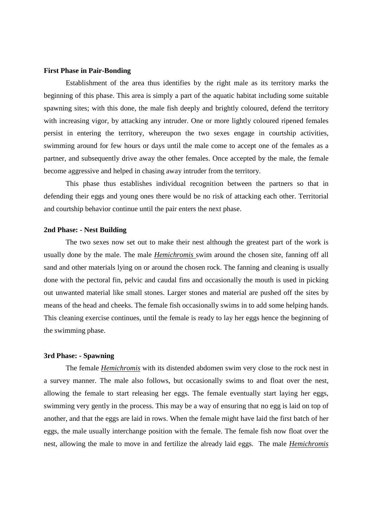#### **First Phase in Pair-Bonding**

Establishment of the area thus identifies by the right male as its territory marks the beginning of this phase. This area is simply a part of the aquatic habitat including some suitable spawning sites; with this done, the male fish deeply and brightly coloured, defend the territory with increasing vigor, by attacking any intruder. One or more lightly coloured ripened females persist in entering the territory, whereupon the two sexes engage in courtship activities, swimming around for few hours or days until the male come to accept one of the females as a partner, and subsequently drive away the other females. Once accepted by the male, the female become aggressive and helped in chasing away intruder from the territory.

This phase thus establishes individual recognition between the partners so that in defending their eggs and young ones there would be no risk of attacking each other. Territorial and courtship behavior continue until the pair enters the next phase.

#### **2nd Phase: - Nest Building**

 The two sexes now set out to make their nest although the greatest part of the work is usually done by the male. The male *Hemichromis* swim around the chosen site, fanning off all sand and other materials lying on or around the chosen rock. The fanning and cleaning is usually done with the pectoral fin, pelvic and caudal fins and occasionally the mouth is used in picking out unwanted material like small stones. Larger stones and material are pushed off the sites by means of the head and cheeks. The female fish occasionally swims in to add some helping hands. This cleaning exercise continues, until the female is ready to lay her eggs hence the beginning of the swimming phase.

#### **3rd Phase: - Spawning**

 The female *Hemichromis* with its distended abdomen swim very close to the rock nest in a survey manner. The male also follows, but occasionally swims to and float over the nest, allowing the female to start releasing her eggs. The female eventually start laying her eggs, swimming very gently in the process. This may be a way of ensuring that no egg is laid on top of another, and that the eggs are laid in rows. When the female might have laid the first batch of her eggs, the male usually interchange position with the female. The female fish now float over the nest, allowing the male to move in and fertilize the already laid eggs. The male *Hemichromis*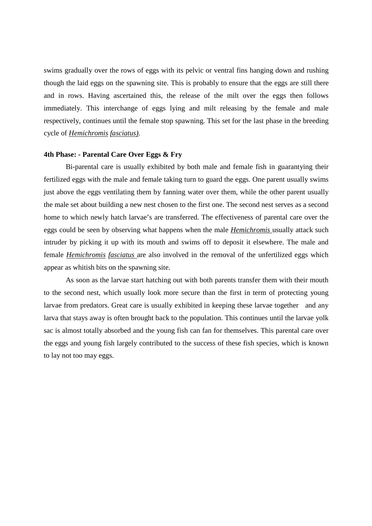swims gradually over the rows of eggs with its pelvic or ventral fins hanging down and rushing though the laid eggs on the spawning site. This is probably to ensure that the eggs are still there and in rows. Having ascertained this, the release of the milt over the eggs then follows immediately. This interchange of eggs lying and milt releasing by the female and male respectively, continues until the female stop spawning. This set for the last phase in the breeding cycle of *Hemichromis fasciatus).* 

### **4th Phase: - Parental Care Over Eggs & Fry**

Bi-parental care is usually exhibited by both male and female fish in guarantying their fertilized eggs with the male and female taking turn to guard the eggs. One parent usually swims just above the eggs ventilating them by fanning water over them, while the other parent usually the male set about building a new nest chosen to the first one. The second nest serves as a second home to which newly hatch larvae's are transferred. The effectiveness of parental care over the eggs could be seen by observing what happens when the male *Hemichromis* usually attack such intruder by picking it up with its mouth and swims off to deposit it elsewhere. The male and female *Hemichromis fasciatus* are also involved in the removal of the unfertilized eggs which appear as whitish bits on the spawning site.

As soon as the larvae start hatching out with both parents transfer them with their mouth to the second nest, which usually look more secure than the first in term of protecting young larvae from predators. Great care is usually exhibited in keeping these larvae together and any larva that stays away is often brought back to the population. This continues until the larvae yolk sac is almost totally absorbed and the young fish can fan for themselves. This parental care over the eggs and young fish largely contributed to the success of these fish species, which is known to lay not too may eggs.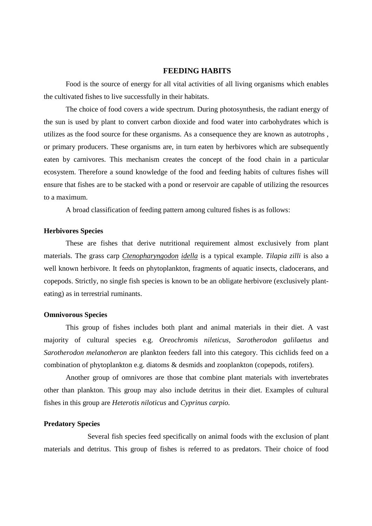#### **FEEDING HABITS**

 Food is the source of energy for all vital activities of all living organisms which enables the cultivated fishes to live successfully in their habitats.

 The choice of food covers a wide spectrum. During photosynthesis, the radiant energy of the sun is used by plant to convert carbon dioxide and food water into carbohydrates which is utilizes as the food source for these organisms. As a consequence they are known as autotrophs , or primary producers. These organisms are, in turn eaten by herbivores which are subsequently eaten by carnivores. This mechanism creates the concept of the food chain in a particular ecosystem. Therefore a sound knowledge of the food and feeding habits of cultures fishes will ensure that fishes are to be stacked with a pond or reservoir are capable of utilizing the resources to a maximum.

A broad classification of feeding pattern among cultured fishes is as follows:

#### **Herbivores Species**

These are fishes that derive nutritional requirement almost exclusively from plant materials. The grass carp *Ctenopharyngodon idella* is a typical example. *Tilapia zilli* is also a well known herbivore. It feeds on phytoplankton, fragments of aquatic insects, cladocerans, and copepods. Strictly, no single fish species is known to be an obligate herbivore (exclusively planteating) as in terrestrial ruminants.

#### **Omnivorous Species**

This group of fishes includes both plant and animal materials in their diet. A vast majority of cultural species e.g. *Oreochromis nileticus, Sarotherodon galilaetus* and *Sarotherodon melanotheron* are plankton feeders fall into this category. This cichlids feed on a combination of phytoplankton e.g. diatoms & desmids and zooplankton (copepods, rotifers).

 Another group of omnivores are those that combine plant materials with invertebrates other than plankton. This group may also include detritus in their diet. Examples of cultural fishes in this group are *Heterotis niloticus* and *Cyprinus carpio.*

#### **Predatory Species**

 Several fish species feed specifically on animal foods with the exclusion of plant materials and detritus. This group of fishes is referred to as predators. Their choice of food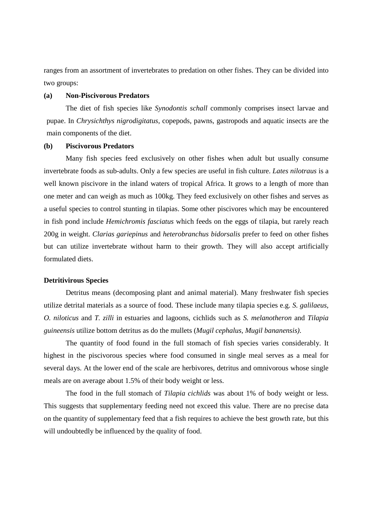ranges from an assortment of invertebrates to predation on other fishes. They can be divided into two groups:

## **(a) Non-Piscivorous Predators**

The diet of fish species like *Synodontis schall* commonly comprises insect larvae and pupae. In *Chrysichthys nigrodigitatus,* copepods, pawns, gastropods and aquatic insects are the main components of the diet.

## **(b) Piscivorous Predators**

Many fish species feed exclusively on other fishes when adult but usually consume invertebrate foods as sub-adults. Only a few species are useful in fish culture. *Lates nilotraus* is a well known piscivore in the inland waters of tropical Africa. It grows to a length of more than one meter and can weigh as much as 100kg. They feed exclusively on other fishes and serves as a useful species to control stunting in tilapias. Some other piscivores which may be encountered in fish pond include *Hemichromis fasciatus* which feeds on the eggs of tilapia, but rarely reach 200g in weight. *Clarias gariepinus* and *heterobranchus bidorsalis* prefer to feed on other fishes but can utilize invertebrate without harm to their growth. They will also accept artificially formulated diets.

#### **Detritivirous Species**

 Detritus means (decomposing plant and animal material). Many freshwater fish species utilize detrital materials as a source of food. These include many tilapia species e.g. *S. galilaeus, O. niloticus* and *T. zilli* in estuaries and lagoons, cichlids such as *S. melanotheron* and *Tilapia guineensis* utilize bottom detritus as do the mullets (*Mugil cephalus, Mugil bananensis).* 

 The quantity of food found in the full stomach of fish species varies considerably. It highest in the piscivorous species where food consumed in single meal serves as a meal for several days. At the lower end of the scale are herbivores, detritus and omnivorous whose single meals are on average about 1.5% of their body weight or less.

 The food in the full stomach of *Tilapia cichlids* was about 1% of body weight or less. This suggests that supplementary feeding need not exceed this value. There are no precise data on the quantity of supplementary feed that a fish requires to achieve the best growth rate, but this will undoubtedly be influenced by the quality of food.